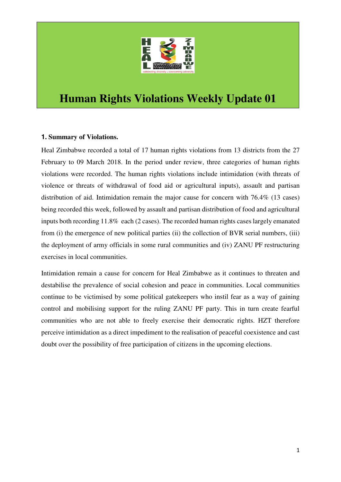

# **Human Rights Violations Weekly Update 01**

#### **1. Summary of Violations.**

Heal Zimbabwe recorded a total of 17 human rights violations from 13 districts from the 27 February to 09 March 2018. In the period under review, three categories of human rights violations were recorded. The human rights violations include intimidation (with threats of violence or threats of withdrawal of food aid or agricultural inputs), assault and partisan distribution of aid. Intimidation remain the major cause for concern with 76.4% (13 cases) being recorded this week, followed by assault and partisan distribution of food and agricultural inputs both recording 11.8% each (2 cases). The recorded human rights cases largely emanated from (i) the emergence of new political parties (ii) the collection of BVR serial numbers, (iii) the deployment of army officials in some rural communities and (iv) ZANU PF restructuring exercises in local communities.

Intimidation remain a cause for concern for Heal Zimbabwe as it continues to threaten and destabilise the prevalence of social cohesion and peace in communities. Local communities continue to be victimised by some political gatekeepers who instil fear as a way of gaining control and mobilising support for the ruling ZANU PF party. This in turn create fearful communities who are not able to freely exercise their democratic rights. HZT therefore perceive intimidation as a direct impediment to the realisation of peaceful coexistence and cast doubt over the possibility of free participation of citizens in the upcoming elections.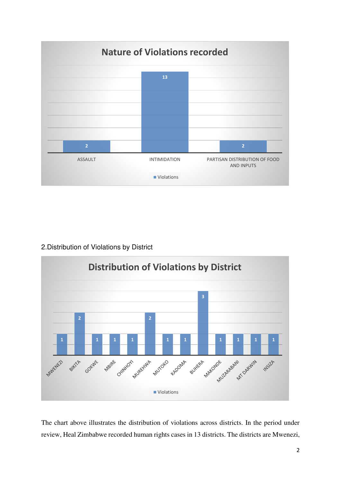

2.Distribution of Violations by District



The chart above illustrates the distribution of violations across districts. In the period under review, Heal Zimbabwe recorded human rights cases in 13 districts. The districts are Mwenezi,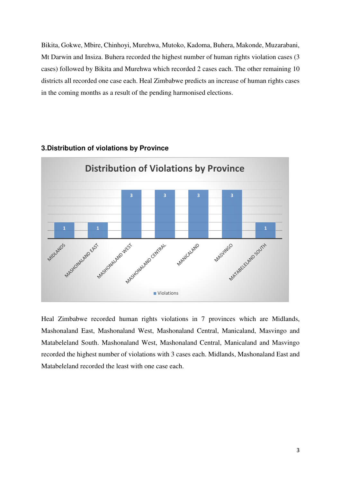Bikita, Gokwe, Mbire, Chinhoyi, Murehwa, Mutoko, Kadoma, Buhera, Makonde, Muzarabani, Mt Darwin and Insiza. Buhera recorded the highest number of human rights violation cases (3 cases) followed by Bikita and Murehwa which recorded 2 cases each. The other remaining 10 districts all recorded one case each. Heal Zimbabwe predicts an increase of human rights cases in the coming months as a result of the pending harmonised elections.



#### **3.Distribution of violations by Province**

Heal Zimbabwe recorded human rights violations in 7 provinces which are Midlands, Mashonaland East, Mashonaland West, Mashonaland Central, Manicaland, Masvingo and Matabeleland South. Mashonaland West, Mashonaland Central, Manicaland and Masvingo recorded the highest number of violations with 3 cases each. Midlands, Mashonaland East and Matabeleland recorded the least with one case each.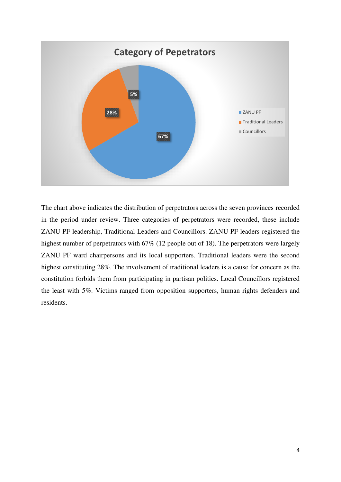

The chart above indicates the distribution of perpetrators across the seven provinces recorded in the period under review. Three categories of perpetrators were recorded, these include ZANU PF leadership, Traditional Leaders and Councillors. ZANU PF leaders registered the highest number of perpetrators with 67% (12 people out of 18). The perpetrators were largely ZANU PF ward chairpersons and its local supporters. Traditional leaders were the second highest constituting 28%. The involvement of traditional leaders is a cause for concern as the constitution forbids them from participating in partisan politics. Local Councillors registered the least with 5%. Victims ranged from opposition supporters, human rights defenders and residents.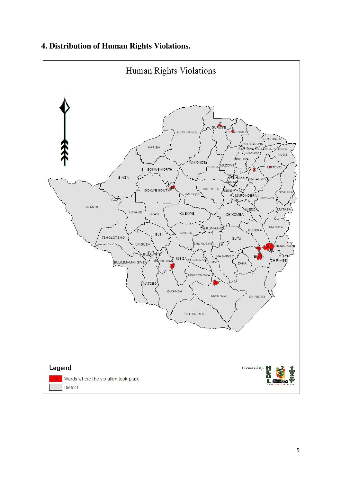

### **4. Distribution of Human Rights Violations.**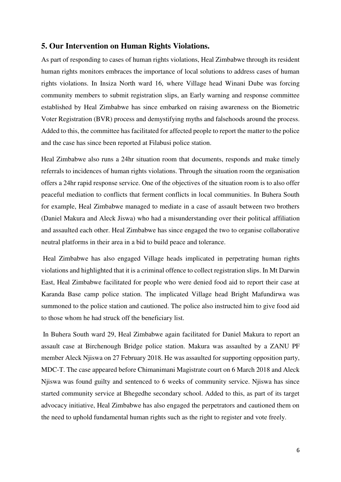#### **5. Our Intervention on Human Rights Violations.**

As part of responding to cases of human rights violations, Heal Zimbabwe through its resident human rights monitors embraces the importance of local solutions to address cases of human rights violations. In Insiza North ward 16, where Village head Winani Dube was forcing community members to submit registration slips, an Early warning and response committee established by Heal Zimbabwe has since embarked on raising awareness on the Biometric Voter Registration (BVR) process and demystifying myths and falsehoods around the process. Added to this, the committee has facilitated for affected people to report the matter to the police and the case has since been reported at Filabusi police station.

Heal Zimbabwe also runs a 24hr situation room that documents, responds and make timely referrals to incidences of human rights violations. Through the situation room the organisation offers a 24hr rapid response service. One of the objectives of the situation room is to also offer peaceful mediation to conflicts that ferment conflicts in local communities. In Buhera South for example, Heal Zimbabwe managed to mediate in a case of assault between two brothers (Daniel Makura and Aleck Jiswa) who had a misunderstanding over their political affiliation and assaulted each other. Heal Zimbabwe has since engaged the two to organise collaborative neutral platforms in their area in a bid to build peace and tolerance.

 Heal Zimbabwe has also engaged Village heads implicated in perpetrating human rights violations and highlighted that it is a criminal offence to collect registration slips. In Mt Darwin East, Heal Zimbabwe facilitated for people who were denied food aid to report their case at Karanda Base camp police station. The implicated Village head Bright Mafundirwa was summoned to the police station and cautioned. The police also instructed him to give food aid to those whom he had struck off the beneficiary list.

 In Buhera South ward 29, Heal Zimbabwe again facilitated for Daniel Makura to report an assault case at Birchenough Bridge police station. Makura was assaulted by a ZANU PF member Aleck Njiswa on 27 February 2018. He was assaulted for supporting opposition party, MDC-T. The case appeared before Chimanimani Magistrate court on 6 March 2018 and Aleck Njiswa was found guilty and sentenced to 6 weeks of community service. Njiswa has since started community service at Bhegedhe secondary school. Added to this, as part of its target advocacy initiative, Heal Zimbabwe has also engaged the perpetrators and cautioned them on the need to uphold fundamental human rights such as the right to register and vote freely.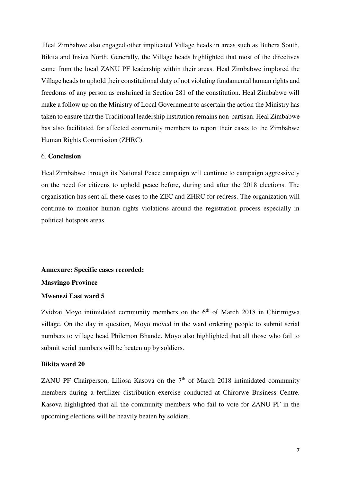Heal Zimbabwe also engaged other implicated Village heads in areas such as Buhera South, Bikita and Insiza North. Generally, the Village heads highlighted that most of the directives came from the local ZANU PF leadership within their areas. Heal Zimbabwe implored the Village heads to uphold their constitutional duty of not violating fundamental human rights and freedoms of any person as enshrined in Section 281 of the constitution. Heal Zimbabwe will make a follow up on the Ministry of Local Government to ascertain the action the Ministry has taken to ensure that the Traditional leadership institution remains non-partisan. Heal Zimbabwe has also facilitated for affected community members to report their cases to the Zimbabwe Human Rights Commission (ZHRC).

#### 6. **Conclusion**

Heal Zimbabwe through its National Peace campaign will continue to campaign aggressively on the need for citizens to uphold peace before, during and after the 2018 elections. The organisation has sent all these cases to the ZEC and ZHRC for redress. The organization will continue to monitor human rights violations around the registration process especially in political hotspots areas.

## **Annexure: Specific cases recorded: Masvingo Province Mwenezi East ward 5**

Zvidzai Moyo intimidated community members on the  $6<sup>th</sup>$  of March 2018 in Chirimigwa village. On the day in question, Moyo moved in the ward ordering people to submit serial numbers to village head Philemon Bhande. Moyo also highlighted that all those who fail to submit serial numbers will be beaten up by soldiers.

#### **Bikita ward 20**

ZANU PF Chairperson, Liliosa Kasova on the  $7<sup>th</sup>$  of March 2018 intimidated community members during a fertilizer distribution exercise conducted at Chirorwe Business Centre. Kasova highlighted that all the community members who fail to vote for ZANU PF in the upcoming elections will be heavily beaten by soldiers.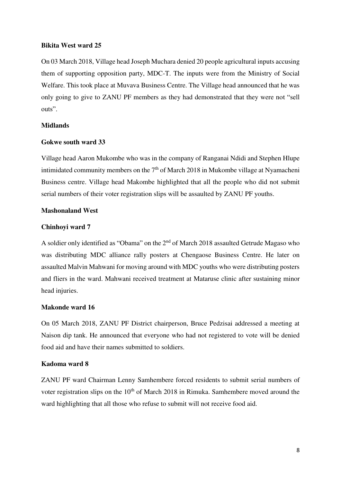#### **Bikita West ward 25**

On 03 March 2018, Village head Joseph Muchara denied 20 people agricultural inputs accusing them of supporting opposition party, MDC-T. The inputs were from the Ministry of Social Welfare. This took place at Muvava Business Centre. The Village head announced that he was only going to give to ZANU PF members as they had demonstrated that they were not "sell outs".

#### **Midlands**

#### **Gokwe south ward 33**

Village head Aaron Mukombe who was in the company of Ranganai Ndidi and Stephen Hlupe intimidated community members on the  $7<sup>th</sup>$  of March 2018 in Mukombe village at Nyamacheni Business centre. Village head Makombe highlighted that all the people who did not submit serial numbers of their voter registration slips will be assaulted by ZANU PF youths.

#### **Mashonaland West**

#### **Chinhoyi ward 7**

A soldier only identified as "Obama" on the 2<sup>nd</sup> of March 2018 assaulted Getrude Magaso who was distributing MDC alliance rally posters at Chengaose Business Centre. He later on assaulted Malvin Mahwani for moving around with MDC youths who were distributing posters and fliers in the ward. Mahwani received treatment at Mataruse clinic after sustaining minor head injuries.

#### **Makonde ward 16**

On 05 March 2018, ZANU PF District chairperson, Bruce Pedzisai addressed a meeting at Naison dip tank. He announced that everyone who had not registered to vote will be denied food aid and have their names submitted to soldiers.

#### **Kadoma ward 8**

ZANU PF ward Chairman Lenny Samhembere forced residents to submit serial numbers of voter registration slips on the  $10<sup>th</sup>$  of March 2018 in Rimuka. Samhembere moved around the ward highlighting that all those who refuse to submit will not receive food aid.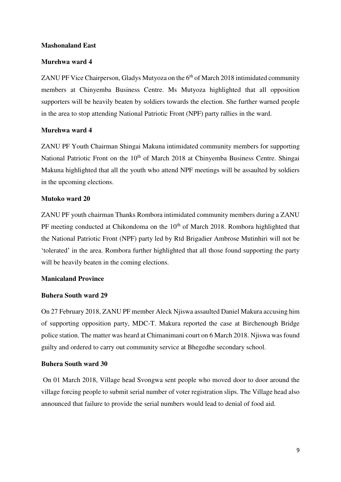#### **Mashonaland East**

#### **Murehwa ward 4**

ZANU PF Vice Chairperson, Gladys Mutyoza on the  $6<sup>th</sup>$  of March 2018 intimidated community members at Chinyemba Business Centre. Ms Mutyoza highlighted that all opposition supporters will be heavily beaten by soldiers towards the election. She further warned people in the area to stop attending National Patriotic Front (NPF) party rallies in the ward.

#### **Murehwa ward 4**

ZANU PF Youth Chairman Shingai Makuna intimidated community members for supporting National Patriotic Front on the 10<sup>th</sup> of March 2018 at Chinyemba Business Centre. Shingai Makuna highlighted that all the youth who attend NPF meetings will be assaulted by soldiers in the upcoming elections.

#### **Mutoko ward 20**

ZANU PF youth chairman Thanks Rombora intimidated community members during a ZANU PF meeting conducted at Chikondoma on the  $10<sup>th</sup>$  of March 2018. Rombora highlighted that the National Patriotic Front (NPF) party led by Rtd Brigadier Ambrose Mutinhiri will not be 'tolerated' in the area. Rombora further highlighted that all those found supporting the party will be heavily beaten in the coming elections.

#### **Manicaland Province**

#### **Buhera South ward 29**

On 27 February 2018, ZANU PF member Aleck Njiswa assaulted Daniel Makura accusing him of supporting opposition party, MDC-T. Makura reported the case at Birchenough Bridge police station. The matter was heard at Chimanimani court on 6 March 2018. Njiswa was found guilty and ordered to carry out community service at Bhegedhe secondary school.

#### **Buhera South ward 30**

 On 01 March 2018, Village head Svongwa sent people who moved door to door around the village forcing people to submit serial number of voter registration slips. The Village head also announced that failure to provide the serial numbers would lead to denial of food aid.